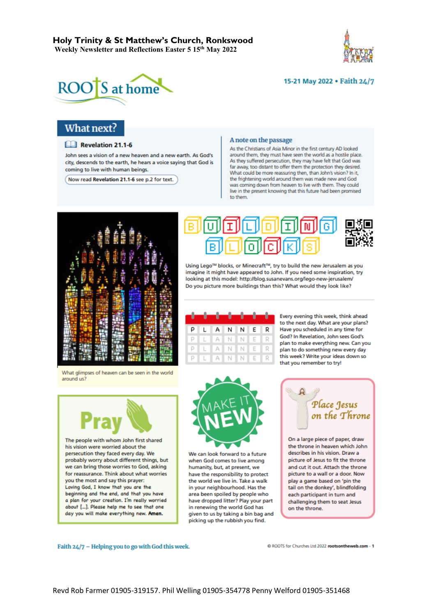



### 15-21 May 2022 . Faith 24/7

## What next?

#### Revelation 21.1-6

John sees a vision of a new heaven and a new earth. As God's city, descends to the earth, he hears a voice saying that God is coming to live with human beings.

Now read Revelation 21.1-6 see p.2 for text.

#### A note on the passage

As the Christians of Asia Minor in the first century AD looked around them, they must have seen the world as a hostile place. As they suffered persecution, they may have felt that God was far away, too distant to offer them the protection they desired. What could be more reassuring then, than John's vision? In it, the frightening world around them was made new and God was coming down from heaven to live with them. They could live in the present knowing that this future had been promised to them.





Using Lego™ blocks, or Minecraft™, try to build the new Jerusalem as you imagine it might have appeared to John. If you need some inspiration, try looking at this model: http://blog.susanevans.org/lego-new-jerusalem/ Do you picture more buildings than this? What would they look like?

| والمناصبات والمتراسيات والمراجع |               |  |  |
|---------------------------------|---------------|--|--|
|                                 |               |  |  |
|                                 | P L A N N E R |  |  |
| PLANNER                         |               |  |  |
| PLANNER                         |               |  |  |
| PLANNER                         |               |  |  |

Every evening this week, think ahead to the next day. What are your plans? Have you scheduled in any time for God? In Revelation, John sees God's plan to make everything new. Can you plan to do something new every day this week? Write your ideas down so that you remember to try!

What glimpses of heaven can be seen in the world around us?



his vision were worried about the persecution they faced every day. We probably worry about different things, but we can bring those worries to God, asking for reassurance. Think about what worries you the most and say this prayer: Loving God, I know that you are the beginning and the end, and that you have a plan for your creation. I'm really worried about [...]. Please help me to see that one day you will make everything new. Amen.



We can look forward to a future when God comes to live among humanity, but, at present, we have the responsibility to protect the world we live in. Take a walk in your neighbourhood. Has the area been spoiled by people who have dropped litter? Play your part in renewing the world God has given to us by taking a bin bag and picking up the rubbish you find.



On a large piece of paper, draw the throne in heaven which John describes in his vision. Draw a picture of Jesus to fit the throne and cut it out. Attach the throne picture to a wall or a door. Now play a game based on 'pin the tail on the donkey', blindfolding each participant in turn and challenging them to seat Jesus on the throne.

Faith 24/7 - Helping you to go with God this week.

C ROOTS for Churches Ltd 2022 rootsontheweb.com - 1